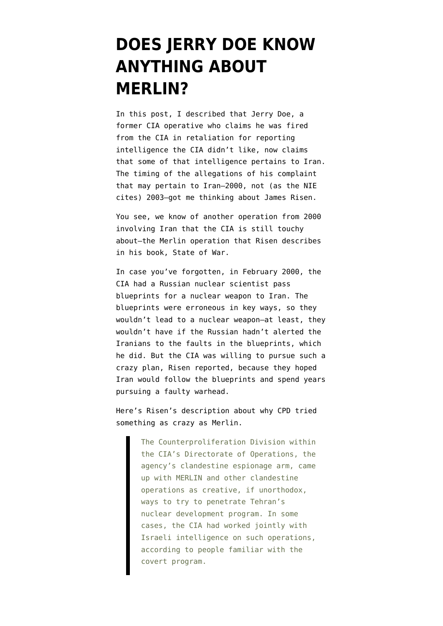## **[DOES JERRY DOE KNOW](https://www.emptywheel.net/2008/07/01/does-jerry-doe-know-anything-about-merlin/) [ANYTHING ABOUT](https://www.emptywheel.net/2008/07/01/does-jerry-doe-know-anything-about-merlin/) [MERLIN?](https://www.emptywheel.net/2008/07/01/does-jerry-doe-know-anything-about-merlin/)**

In [this post](http://emptywheel.firedoglake.com/2008/07/01/jerry-doe-proved-fucking-right/), I described that Jerry Doe, a former CIA operative who claims he was fired from the CIA in retaliation for reporting intelligence the CIA didn't like, now claims that some of that intelligence pertains to Iran. The timing of the allegations of his complaint that may pertain to Iran–2000, not (as the NIE cites) 2003–got me thinking about James Risen.

You see, we know of another operation from 2000 involving Iran that the CIA is still touchy about–the Merlin operation that Risen describes in his book, State of War.

In case you've forgotten, in February 2000, the CIA had a Russian nuclear scientist pass blueprints for a nuclear weapon to Iran. The blueprints were erroneous in key ways, so they wouldn't lead to a nuclear weapon–at least, they wouldn't have if the Russian hadn't alerted the Iranians to the faults in the blueprints, which he did. But the CIA was willing to pursue such a crazy plan, Risen reported, because they hoped Iran would follow the blueprints and spend years pursuing a faulty warhead.

Here's Risen's description about why CPD tried something as crazy as Merlin.

> The Counterproliferation Division within the CIA's Directorate of Operations, the agency's clandestine espionage arm, came up with MERLIN and other clandestine operations as creative, if unorthodox, ways to try to penetrate Tehran's nuclear development program. In some cases, the CIA had worked jointly with Israeli intelligence on such operations, according to people familiar with the covert program.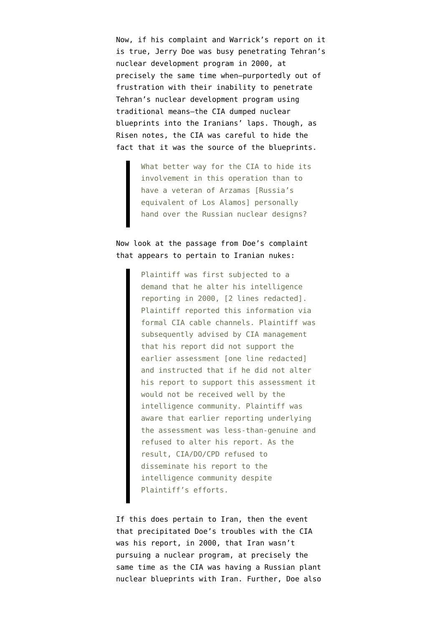Now, if his [complaint](http://thenexthurrah.typepad.com/the_next_hurrah/files/2nd_amended_complaint.pdf) and Warrick's [report](http://www.washingtonpost.com/wp-dyn/content/article/2008/06/30/AR2008063001940.html?nav=rss_nation/nationalsecurity) on it is true, Jerry Doe was busy penetrating Tehran's nuclear development program in 2000, at precisely the same time when–purportedly out of frustration with their inability to penetrate Tehran's nuclear development program using traditional means–the CIA dumped nuclear blueprints into the Iranians' laps. Though, as Risen notes, the CIA was careful to hide the fact that it was the source of the blueprints.

> What better way for the CIA to hide its involvement in this operation than to have a veteran of Arzamas [Russia's equivalent of Los Alamos] personally hand over the Russian nuclear designs?

## Now look at the passage from Doe's complaint that appears to pertain to Iranian nukes:

Plaintiff was first subjected to a demand that he alter his intelligence reporting in 2000, [2 lines redacted]. Plaintiff reported this information via formal CIA cable channels. Plaintiff was subsequently advised by CIA management that his report did not support the earlier assessment [one line redacted] and instructed that if he did not alter his report to support this assessment it would not be received well by the intelligence community. Plaintiff was aware that earlier reporting underlying the assessment was less-than-genuine and refused to alter his report. As the result, CIA/DO/CPD refused to disseminate his report to the intelligence community despite Plaintiff's efforts.

If this does pertain to Iran, then the event that precipitated Doe's troubles with the CIA was his report, in 2000, that Iran wasn't pursuing a nuclear program, at precisely the same time as the CIA was having a Russian plant nuclear blueprints with Iran. Further, Doe also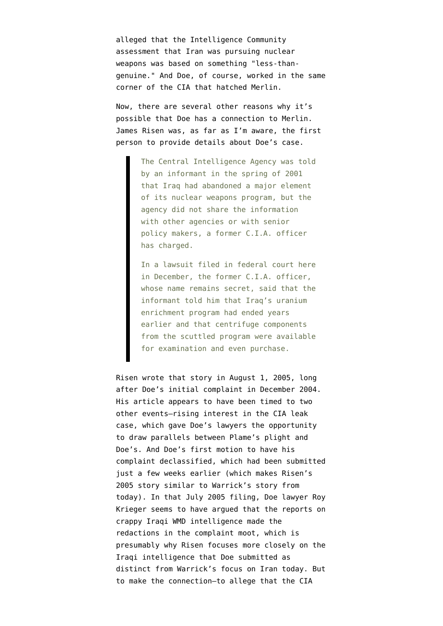alleged that the Intelligence Community assessment that Iran was pursuing nuclear weapons was based on something "less-thangenuine." And Doe, of course, worked in the same corner of the CIA that hatched Merlin.

Now, there are several other reasons why it's possible that Doe has a connection to Merlin. James Risen was, as far as I'm aware, the first person to [provide details](http://www.nytimes.com/2005/08/01/politics/01weapons.html?pagewanted=1&sq&st=nyt&scp=1) about Doe's case.

> The Central Intelligence Agency was told by an informant in the spring of 2001 that Iraq had abandoned a major element of its nuclear weapons program, but the agency did not share the information with other agencies or with senior policy makers, a former C.I.A. officer has charged.

> In a lawsuit filed in federal court here in December, the former C.I.A. officer, whose name remains secret, said that the informant told him that Iraq's uranium enrichment program had ended years earlier and that centrifuge components from the scuttled program were available for examination and even purchase.

Risen wrote that story in August 1, 2005, long after Doe's initial complaint in December 2004. His article appears to have been timed to two other events–rising interest in the CIA leak case, which gave Doe's lawyers the opportunity to draw parallels between Plame's plight and Doe's. And Doe's first [motion](http://emptywheel.firedoglake.com/files/28/files//2008/07/050712-motion-to-declassify.pdf) to have his complaint declassified, which had been submitted just a few weeks earlier (which makes Risen's 2005 story similar to Warrick's story from today). In that July 2005 filing, Doe lawyer Roy Krieger seems to have argued that the reports on crappy Iraqi WMD intelligence made the redactions in the complaint moot, which is presumably why Risen focuses more closely on the Iraqi intelligence that Doe submitted as distinct from Warrick's focus on Iran today. But to make the connection–to allege that the CIA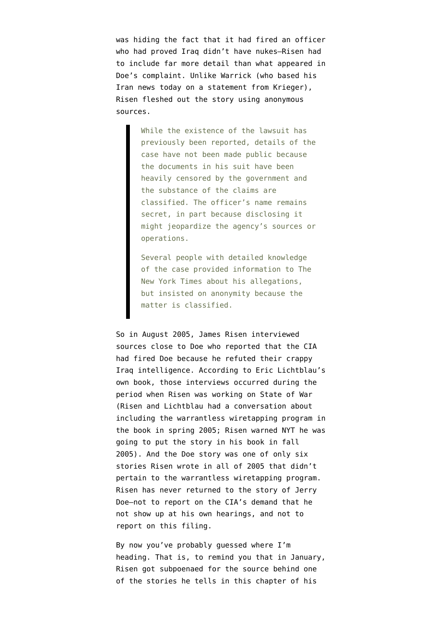was hiding the fact that it had fired an officer who had proved Iraq didn't have nukes–Risen had to include far more detail than what appeared in Doe's complaint. Unlike Warrick (who based his Iran news today on a statement from Krieger), Risen fleshed out the story using anonymous sources.

> While the existence of the lawsuit has previously been reported, details of the case have not been made public because the documents in his suit have been heavily censored by the government and the substance of the claims are classified. The officer's name remains secret, in part because disclosing it might jeopardize the agency's sources or operations.

Several people with detailed knowledge of the case provided information to The New York Times about his allegations, but insisted on anonymity because the matter is classified.

So in August 2005, James Risen interviewed sources close to Doe who reported that the CIA had fired Doe because he refuted their crappy Iraq intelligence. According to Eric Lichtblau's own book, those interviews occurred during the period when Risen was working on State of War (Risen and Lichtblau had a conversation about including the warrantless wiretapping program in the book in spring 2005; Risen warned NYT he was going to put the story in his book in fall 2005). And the Doe story was one of [only six](http://query.nytimes.com/search/query?query=&srchst=nyt&d=&o=&v=&c=&sort=newest&n=10&dp=0&daterange=period&year1=2005&mon1=01&day1=01&year2=2006&mon2=01&day2=01&bylquery=risen%2C%20james&frow=10) [stories](http://query.nytimes.com/search/query?query=&srchst=nyt&d=&o=&v=&c=&sort=newest&n=10&dp=0&daterange=period&year1=2005&mon1=01&day1=01&year2=2006&mon2=01&day2=01&bylquery=risen%2C%20james&frow=10) Risen wrote in all of 2005 that didn't pertain to the warrantless wiretapping program. Risen has never returned to the story of Jerry Doe–not to report on the CIA's demand that he not show up at his own hearings, and not to report on this filing.

By now you've probably guessed where I'm heading. That is, to remind you that in January, Risen [got subpoenaed](http://www.nytimes.com/2008/02/01/washington/01inquire.html) for the source behind one of the stories he tells in this chapter of his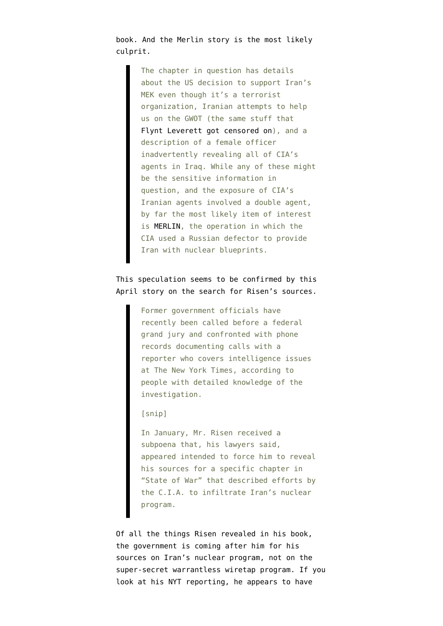book. And the Merlin story is the [most likely](http://emptywheel.firedoglake.com/2008/02/01/all-the-news-thats-not-fit-to-print/) culprit.

> The chapter in question has details about the US decision to support Iran's MEK even though it's a terrorist organization, Iranian attempts to help us on the GWOT (the same stuff that [Flynt Leverett got censored on\)](http://thenexthurrah.typepad.com/the_next_hurrah/2006/12/flynt_leveretts.html), and a description of a female officer inadvertently revealing all of CIA's agents in Iraq. While any of these might be the sensitive information in question, and the exposure of CIA's Iranian agents involved a double agent, by far the most likely item of interest is [MERLIN](http://www.guardian.co.uk/usa/story/0,12271,1678134,00.html), the operation in which the CIA used a Russian defector to provide Iran with nuclear blueprints.

## This speculation seems to be confirmed by this [April story](http://www.nytimes.com/2008/04/12/washington/12leak.html?scp=6&sq=risen%2C+james&st=nyt) on the search for Risen's sources.

Former government officials have recently been called before a federal grand jury and confronted with phone records documenting calls with a reporter who covers intelligence issues at The New York Times, according to people with detailed knowledge of the investigation.

## [snip]

In January, Mr. Risen received a subpoena that, his lawyers said, appeared intended to force him to reveal his sources for a specific chapter in "State of War" that described efforts by the C.I.A. to infiltrate Iran's nuclear program.

Of all the things Risen revealed in his book, the government is coming after him for his sources on Iran's nuclear program, not on the super-secret warrantless wiretap program. If you look at his NYT reporting, he appears to have